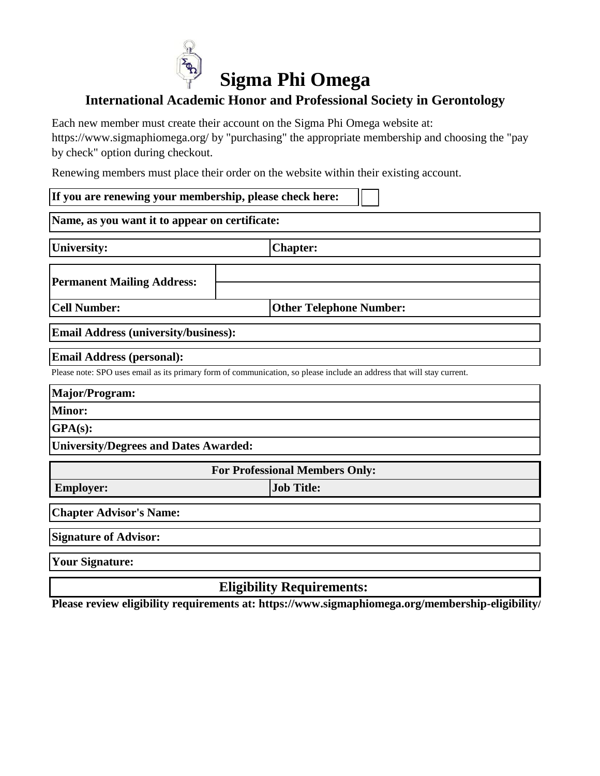

## **International Academic Honor and Professional Society in Gerontology**

Each new member must create their account on the Sigma Phi Omega website at:

https://www.sigmaphiomega.org/ by "purchasing" the appropriate membership and choosing the "pay by check" option during checkout.

Renewing members must place their order on the website within their existing account.

| If you are renewing your membership, please check here:                           |                                                                                                                        |  |
|-----------------------------------------------------------------------------------|------------------------------------------------------------------------------------------------------------------------|--|
| Name, as you want it to appear on certificate:                                    |                                                                                                                        |  |
| <b>University:</b>                                                                | <b>Chapter:</b>                                                                                                        |  |
| <b>Permanent Mailing Address:</b>                                                 |                                                                                                                        |  |
| <b>Cell Number:</b>                                                               | <b>Other Telephone Number:</b>                                                                                         |  |
| <b>Email Address (university/business):</b>                                       |                                                                                                                        |  |
| <b>Email Address (personal):</b><br>Major/Program:<br><b>Minor:</b><br>$GPA(s)$ : | Please note: SPO uses email as its primary form of communication, so please include an address that will stay current. |  |
| <b>University/Degrees and Dates Awarded:</b>                                      |                                                                                                                        |  |
| <b>For Professional Members Only:</b>                                             |                                                                                                                        |  |
| <b>Employer:</b>                                                                  | <b>Job Title:</b>                                                                                                      |  |
| <b>Chapter Advisor's Name:</b>                                                    |                                                                                                                        |  |
| <b>Signature of Advisor:</b>                                                      |                                                                                                                        |  |
| <b>Your Signature:</b>                                                            |                                                                                                                        |  |

## **Eligibility Requirements:**

**Please review eligibility requirements at: https://www.sigmaphiomega.org/membership-eligibility/**